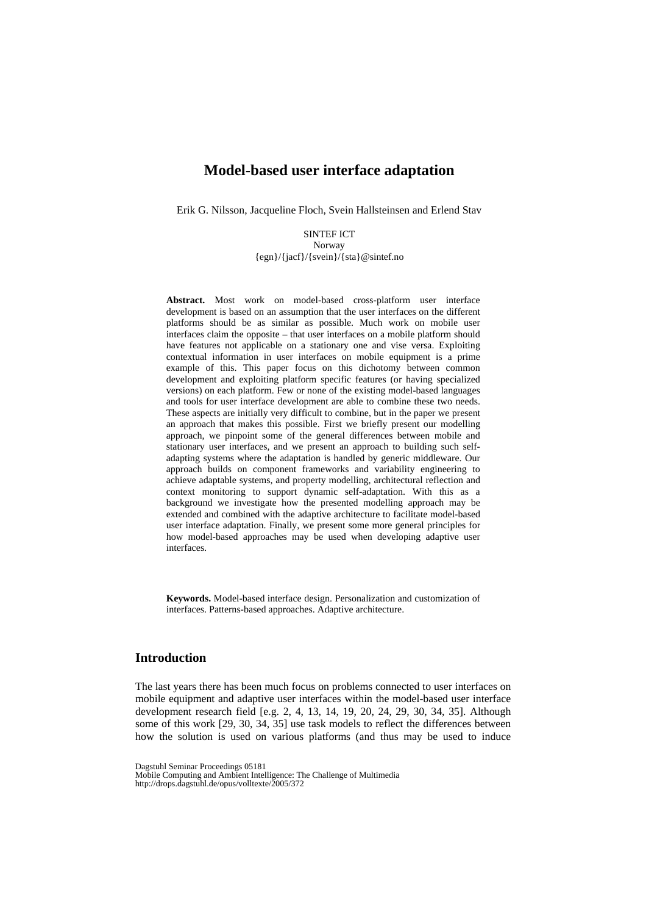Erik G. Nilsson, Jacqueline Floch, Svein Hallsteinsen and Erlend Stav

SINTEF ICT Norway {egn}/{jacf}/{svein}/{sta}@sintef.no

**Abstract.** Most work on model-based cross-platform user interface development is based on an assumption that the user interfaces on the different platforms should be as similar as possible. Much work on mobile user interfaces claim the opposite – that user interfaces on a mobile platform should have features not applicable on a stationary one and vise versa. Exploiting contextual information in user interfaces on mobile equipment is a prime example of this. This paper focus on this dichotomy between common development and exploiting platform specific features (or having specialized versions) on each platform. Few or none of the existing model-based languages and tools for user interface development are able to combine these two needs. These aspects are initially very difficult to combine, but in the paper we present an approach that makes this possible. First we briefly present our modelling approach, we pinpoint some of the general differences between mobile and stationary user interfaces, and we present an approach to building such selfadapting systems where the adaptation is handled by generic middleware. Our approach builds on component frameworks and variability engineering to achieve adaptable systems, and property modelling, architectural reflection and context monitoring to support dynamic self-adaptation. With this as a background we investigate how the presented modelling approach may be extended and combined with the adaptive architecture to facilitate model-based user interface adaptation. Finally, we present some more general principles for how model-based approaches may be used when developing adaptive user interfaces.

**Keywords.** Model-based interface design. Personalization and customization of interfaces. Patterns-based approaches. Adaptive architecture.

### **Introduction**

The last years there has been much focus on problems connected to user interfaces on mobile equipment and adaptive user interfaces within the model-based user interface development research field [e.g. 2, 4, 13, 14, 19, 20, 24, 29, 30, 34, 35]. Although some of this work [29, 30, 34, 35] use task models to reflect the differences between how the solution is used on various platforms (and thus may be used to induce

Dagstuhl Seminar Proceedings 05181

Mobile Computing and Ambient Intelligence: The Challenge of Multimedia http://drops.dagstuhl.de/opus/volltexte/2005/372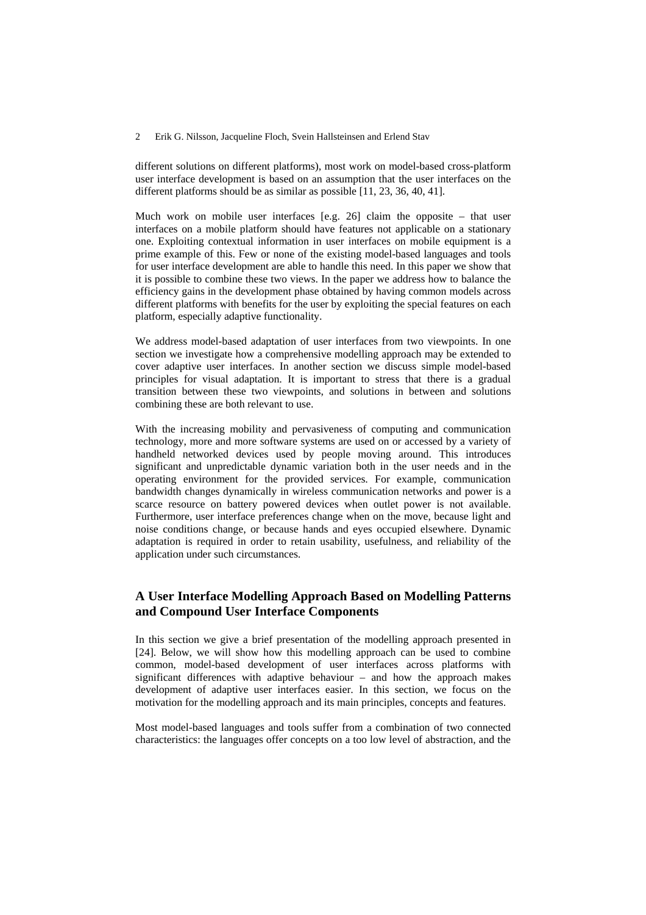different solutions on different platforms), most work on model-based cross-platform user interface development is based on an assumption that the user interfaces on the different platforms should be as similar as possible [11, 23, 36, 40, 41].

Much work on mobile user interfaces  $[e.g. 26]$  claim the opposite – that user interfaces on a mobile platform should have features not applicable on a stationary one. Exploiting contextual information in user interfaces on mobile equipment is a prime example of this. Few or none of the existing model-based languages and tools for user interface development are able to handle this need. In this paper we show that it is possible to combine these two views. In the paper we address how to balance the efficiency gains in the development phase obtained by having common models across different platforms with benefits for the user by exploiting the special features on each platform, especially adaptive functionality.

We address model-based adaptation of user interfaces from two viewpoints. In one section we investigate how a comprehensive modelling approach may be extended to cover adaptive user interfaces. In another section we discuss simple model-based principles for visual adaptation. It is important to stress that there is a gradual transition between these two viewpoints, and solutions in between and solutions combining these are both relevant to use.

With the increasing mobility and pervasiveness of computing and communication technology, more and more software systems are used on or accessed by a variety of handheld networked devices used by people moving around. This introduces significant and unpredictable dynamic variation both in the user needs and in the operating environment for the provided services. For example, communication bandwidth changes dynamically in wireless communication networks and power is a scarce resource on battery powered devices when outlet power is not available. Furthermore, user interface preferences change when on the move, because light and noise conditions change, or because hands and eyes occupied elsewhere. Dynamic adaptation is required in order to retain usability, usefulness, and reliability of the application under such circumstances.

## **A User Interface Modelling Approach Based on Modelling Patterns and Compound User Interface Components**

In this section we give a brief presentation of the modelling approach presented in [24]. Below, we will show how this modelling approach can be used to combine common, model-based development of user interfaces across platforms with significant differences with adaptive behaviour – and how the approach makes development of adaptive user interfaces easier. In this section, we focus on the motivation for the modelling approach and its main principles, concepts and features.

Most model-based languages and tools suffer from a combination of two connected characteristics: the languages offer concepts on a too low level of abstraction, and the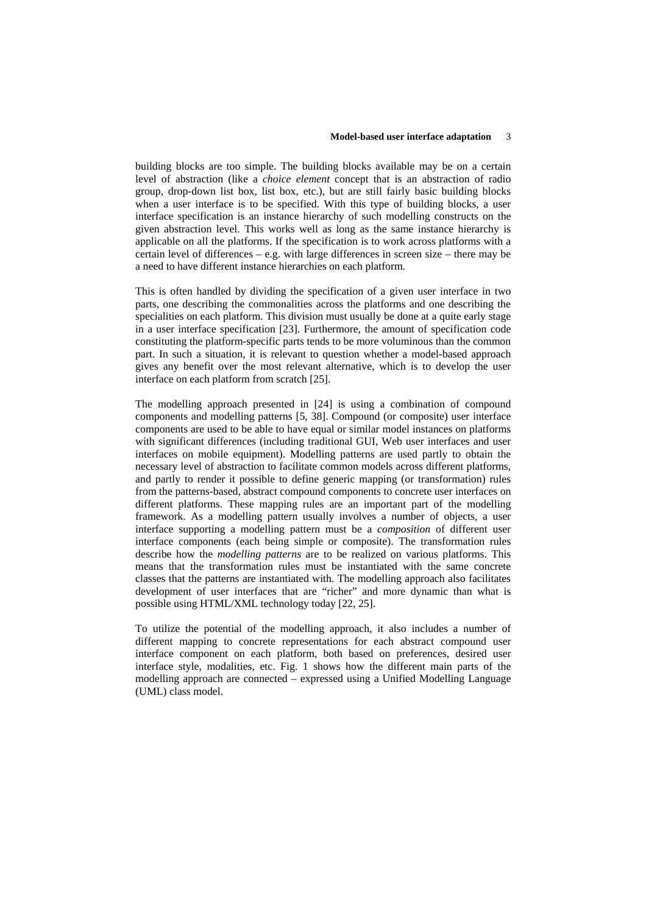building blocks are too simple. The building blocks available may be on a certain level of abstraction (like a *choice element* concept that is an abstraction of radio group, drop-down list box, list box, etc.), but are still fairly basic building blocks when a user interface is to be specified. With this type of building blocks, a user interface specification is an instance hierarchy of such modelling constructs on the given abstraction level. This works well as long as the same instance hierarchy is applicable on all the platforms. If the specification is to work across platforms with a certain level of differences – e.g. with large differences in screen size – there may be a need to have different instance hierarchies on each platform.

This is often handled by dividing the specification of a given user interface in two parts, one describing the commonalities across the platforms and one describing the specialities on each platform. This division must usually be done at a quite early stage in a user interface specification [23]. Furthermore, the amount of specification code constituting the platform-specific parts tends to be more voluminous than the common part. In such a situation, it is relevant to question whether a model-based approach gives any benefit over the most relevant alternative, which is to develop the user interface on each platform from scratch [25].

The modelling approach presented in [24] is using a combination of compound components and modelling patterns [5, 38]. Compound (or composite) user interface components are used to be able to have equal or similar model instances on platforms with significant differences (including traditional GUI, Web user interfaces and user interfaces on mobile equipment). Modelling patterns are used partly to obtain the necessary level of abstraction to facilitate common models across different platforms, and partly to render it possible to define generic mapping (or transformation) rules from the patterns-based, abstract compound components to concrete user interfaces on different platforms. These mapping rules are an important part of the modelling framework. As a modelling pattern usually involves a number of objects, a user interface supporting a modelling pattern must be a *composition* of different user interface components (each being simple or composite). The transformation rules describe how the *modelling patterns* are to be realized on various platforms. This means that the transformation rules must be instantiated with the same concrete classes that the patterns are instantiated with. The modelling approach also facilitates development of user interfaces that are "richer" and more dynamic than what is possible using HTML/XML technology today [22, 25].

To utilize the potential of the modelling approach, it also includes a number of different mapping to concrete representations for each abstract compound user interface component on each platform, both based on preferences, desired user interface style, modalities, etc. Fig. 1 shows how the different main parts of the modelling approach are connected – expressed using a Unified Modelling Language (UML) class model.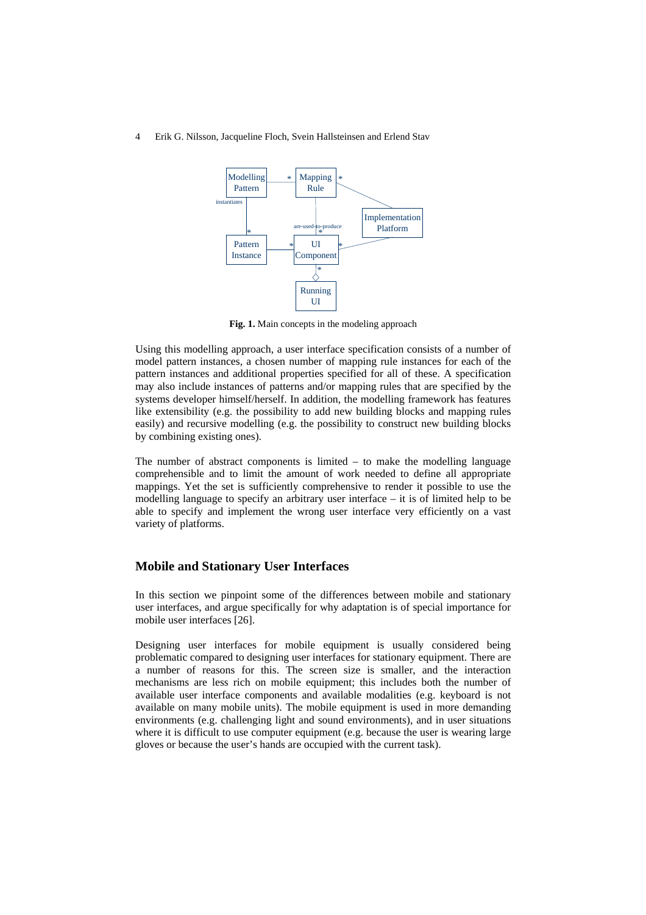

**Fig. 1.** Main concepts in the modeling approach

Using this modelling approach, a user interface specification consists of a number of model pattern instances, a chosen number of mapping rule instances for each of the pattern instances and additional properties specified for all of these. A specification may also include instances of patterns and/or mapping rules that are specified by the systems developer himself/herself. In addition, the modelling framework has features like extensibility (e.g. the possibility to add new building blocks and mapping rules easily) and recursive modelling (e.g. the possibility to construct new building blocks by combining existing ones).

The number of abstract components is limited – to make the modelling language comprehensible and to limit the amount of work needed to define all appropriate mappings. Yet the set is sufficiently comprehensive to render it possible to use the modelling language to specify an arbitrary user interface – it is of limited help to be able to specify and implement the wrong user interface very efficiently on a vast variety of platforms.

### **Mobile and Stationary User Interfaces**

In this section we pinpoint some of the differences between mobile and stationary user interfaces, and argue specifically for why adaptation is of special importance for mobile user interfaces [26].

Designing user interfaces for mobile equipment is usually considered being problematic compared to designing user interfaces for stationary equipment. There are a number of reasons for this. The screen size is smaller, and the interaction mechanisms are less rich on mobile equipment; this includes both the number of available user interface components and available modalities (e.g. keyboard is not available on many mobile units). The mobile equipment is used in more demanding environments (e.g. challenging light and sound environments), and in user situations where it is difficult to use computer equipment (e.g. because the user is wearing large gloves or because the user's hands are occupied with the current task).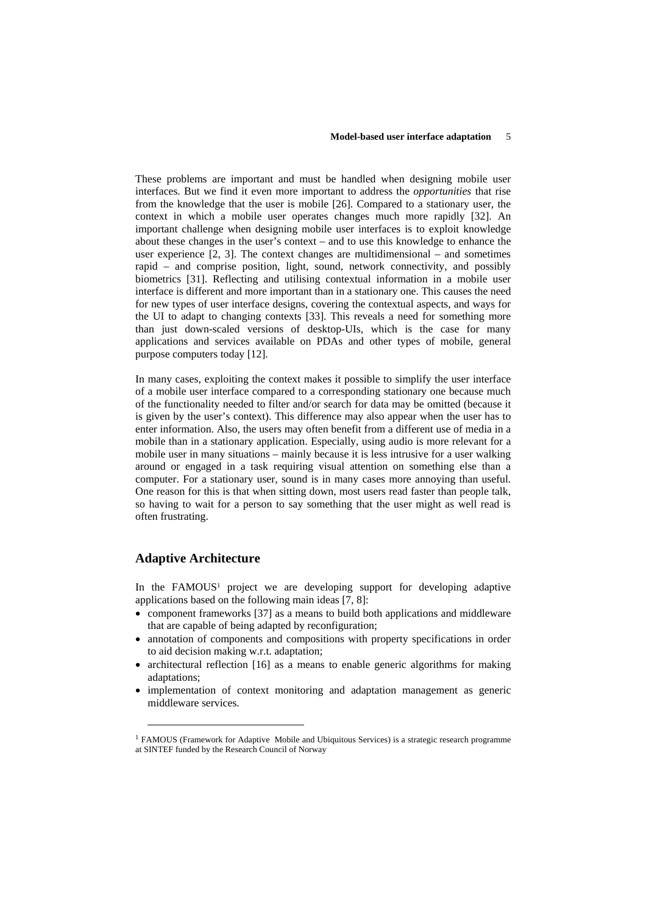These problems are important and must be handled when designing mobile user interfaces. But we find it even more important to address the *opportunities* that rise from the knowledge that the user is mobile [26]. Compared to a stationary user, the context in which a mobile user operates changes much more rapidly [32]. An important challenge when designing mobile user interfaces is to exploit knowledge about these changes in the user's context – and to use this knowledge to enhance the user experience [2, 3]. The context changes are multidimensional – and sometimes rapid – and comprise position, light, sound, network connectivity, and possibly biometrics [31]. Reflecting and utilising contextual information in a mobile user interface is different and more important than in a stationary one. This causes the need for new types of user interface designs, covering the contextual aspects, and ways for the UI to adapt to changing contexts [33]. This reveals a need for something more than just down-scaled versions of desktop-UIs, which is the case for many applications and services available on PDAs and other types of mobile, general purpose computers today [12].

In many cases, exploiting the context makes it possible to simplify the user interface of a mobile user interface compared to a corresponding stationary one because much of the functionality needed to filter and/or search for data may be omitted (because it is given by the user's context). This difference may also appear when the user has to enter information. Also, the users may often benefit from a different use of media in a mobile than in a stationary application. Especially, using audio is more relevant for a mobile user in many situations – mainly because it is less intrusive for a user walking around or engaged in a task requiring visual attention on something else than a computer. For a stationary user, sound is in many cases more annoying than useful. One reason for this is that when sitting down, most users read faster than people talk, so having to wait for a person to say something that the user might as well read is often frustrating.

## **Adaptive Architecture**

-

In the FAMOUS<sup>1</sup> project we are developing support for developing adaptive applications based on the following main ideas [7, 8]:

- component frameworks [37] as a means to build both applications and middleware that are capable of being adapted by reconfiguration;
- annotation of components and compositions with property specifications in order to aid decision making w.r.t. adaptation;
- architectural reflection [16] as a means to enable generic algorithms for making adaptations;
- implementation of context monitoring and adaptation management as generic middleware services.

<span id="page-4-0"></span><sup>&</sup>lt;sup>1</sup> FAMOUS (Framework for Adaptive Mobile and Ubiquitous Services) is a strategic research programme at SINTEF funded by the Research Council of Norway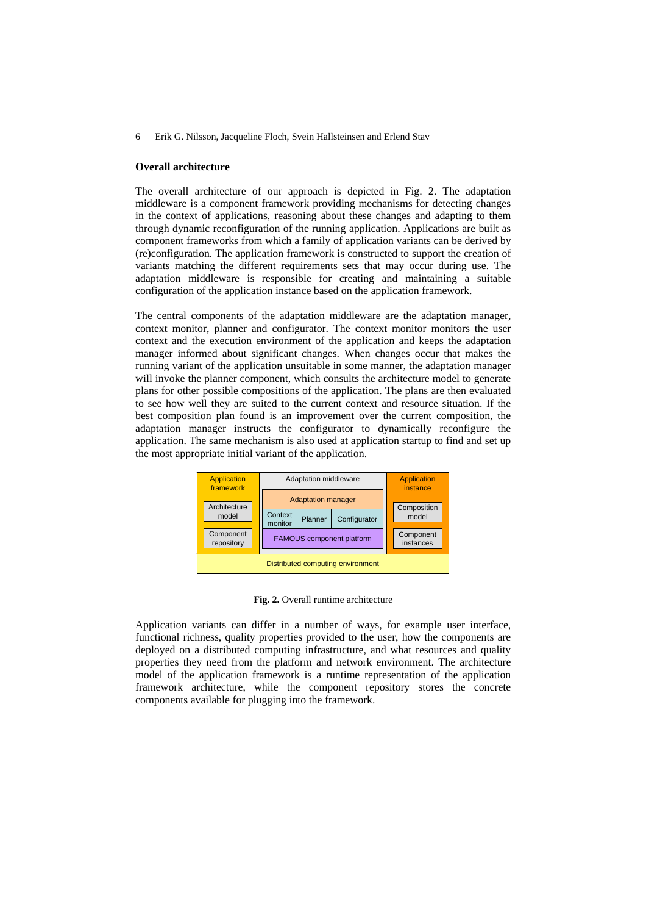#### **Overall architecture**

The overall architecture of our approach is depicted in Fig. 2. The adaptation middleware is a component framework providing mechanisms for detecting changes in the context of applications, reasoning about these changes and adapting to them through dynamic reconfiguration of the running application. Applications are built as component frameworks from which a family of application variants can be derived by (re)configuration. The application framework is constructed to support the creation of variants matching the different requirements sets that may occur during use. The adaptation middleware is responsible for creating and maintaining a suitable configuration of the application instance based on the application framework.

The central components of the adaptation middleware are the adaptation manager, context monitor, planner and configurator. The context monitor monitors the user context and the execution environment of the application and keeps the adaptation manager informed about significant changes. When changes occur that makes the running variant of the application unsuitable in some manner, the adaptation manager will invoke the planner component, which consults the architecture model to generate plans for other possible compositions of the application. The plans are then evaluated to see how well they are suited to the current context and resource situation. If the best composition plan found is an improvement over the current composition, the adaptation manager instructs the configurator to dynamically reconfigure the application. The same mechanism is also used at application startup to find and set up the most appropriate initial variant of the application.



**Fig. 2.** Overall runtime architecture

Application variants can differ in a number of ways, for example user interface, functional richness, quality properties provided to the user, how the components are deployed on a distributed computing infrastructure, and what resources and quality properties they need from the platform and network environment. The architecture model of the application framework is a runtime representation of the application framework architecture, while the component repository stores the concrete components available for plugging into the framework.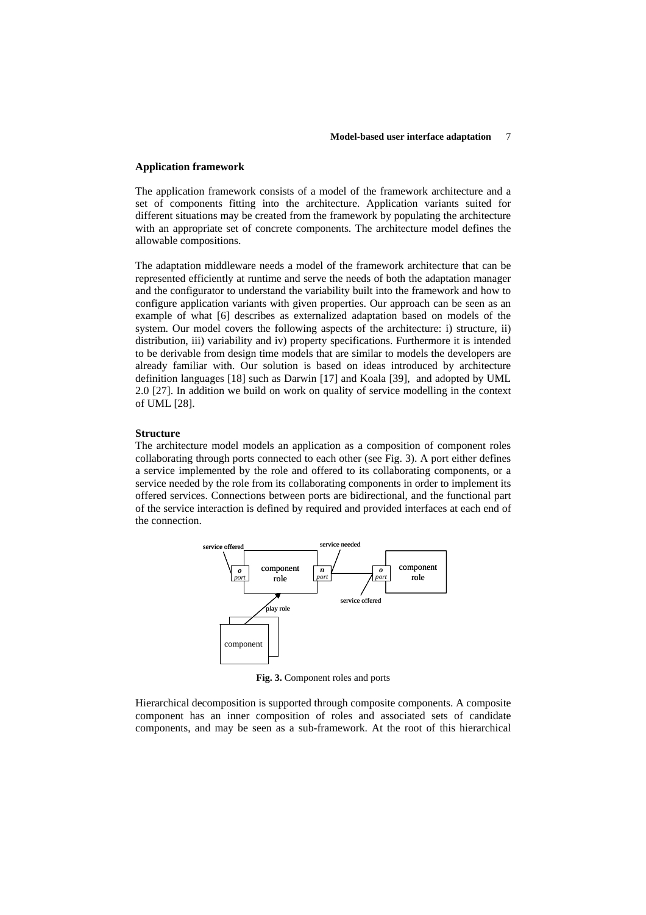#### **Application framework**

The application framework consists of a model of the framework architecture and a set of components fitting into the architecture. Application variants suited for different situations may be created from the framework by populating the architecture with an appropriate set of concrete components. The architecture model defines the allowable compositions.

The adaptation middleware needs a model of the framework architecture that can be represented efficiently at runtime and serve the needs of both the adaptation manager and the configurator to understand the variability built into the framework and how to configure application variants with given properties. Our approach can be seen as an example of what [6] describes as externalized adaptation based on models of the system. Our model covers the following aspects of the architecture: i) structure, ii) distribution, iii) variability and iv) property specifications. Furthermore it is intended to be derivable from design time models that are similar to models the developers are already familiar with. Our solution is based on ideas introduced by architecture definition languages [18] such as Darwin [17] and Koala [39], and adopted by UML 2.0 [27]. In addition we build on work on quality of service modelling in the context of UML [28].

### **Structure**

The architecture model models an application as a composition of component roles collaborating through ports connected to each other (see Fig. 3). A port either defines a service implemented by the role and offered to its collaborating components, or a service needed by the role from its collaborating components in order to implement its offered services. Connections between ports are bidirectional, and the functional part of the service interaction is defined by required and provided interfaces at each end of the connection.



**Fig. 3.** Component roles and ports

Hierarchical decomposition is supported through composite components. A composite component has an inner composition of roles and associated sets of candidate components, and may be seen as a sub-framework. At the root of this hierarchical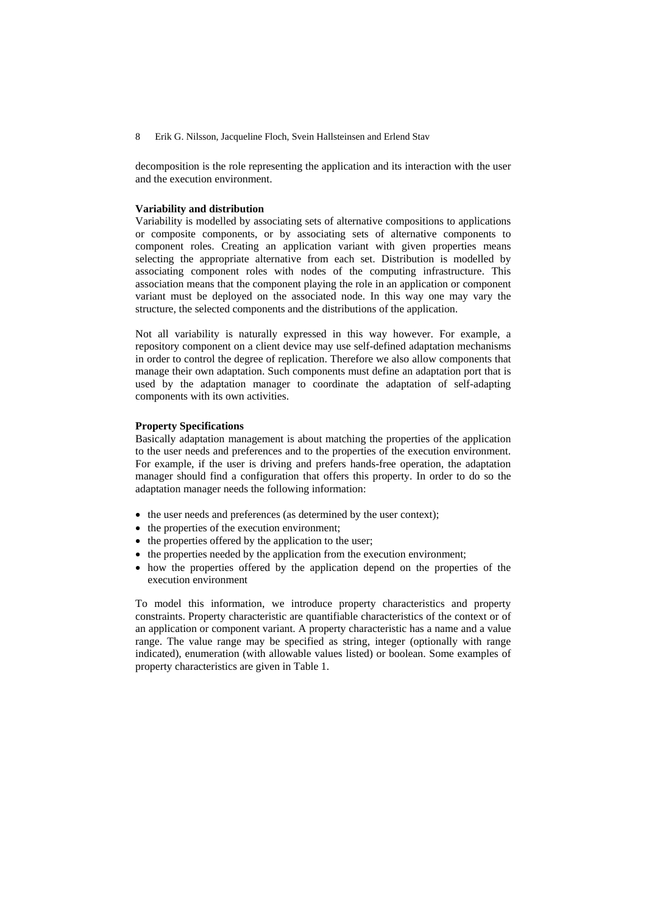decomposition is the role representing the application and its interaction with the user and the execution environment.

### **Variability and distribution**

Variability is modelled by associating sets of alternative compositions to applications or composite components, or by associating sets of alternative components to component roles. Creating an application variant with given properties means selecting the appropriate alternative from each set. Distribution is modelled by associating component roles with nodes of the computing infrastructure. This association means that the component playing the role in an application or component variant must be deployed on the associated node. In this way one may vary the structure, the selected components and the distributions of the application.

Not all variability is naturally expressed in this way however. For example, a repository component on a client device may use self-defined adaptation mechanisms in order to control the degree of replication. Therefore we also allow components that manage their own adaptation. Such components must define an adaptation port that is used by the adaptation manager to coordinate the adaptation of self-adapting components with its own activities.

#### **Property Specifications**

Basically adaptation management is about matching the properties of the application to the user needs and preferences and to the properties of the execution environment. For example, if the user is driving and prefers hands-free operation, the adaptation manager should find a configuration that offers this property. In order to do so the adaptation manager needs the following information:

- the user needs and preferences (as determined by the user context);
- the properties of the execution environment;
- the properties offered by the application to the user;
- the properties needed by the application from the execution environment;
- how the properties offered by the application depend on the properties of the execution environment

To model this information, we introduce property characteristics and property constraints. Property characteristic are quantifiable characteristics of the context or of an application or component variant. A property characteristic has a name and a value range. The value range may be specified as string, integer (optionally with range indicated), enumeration (with allowable values listed) or boolean. Some examples of property characteristics are given in Table 1.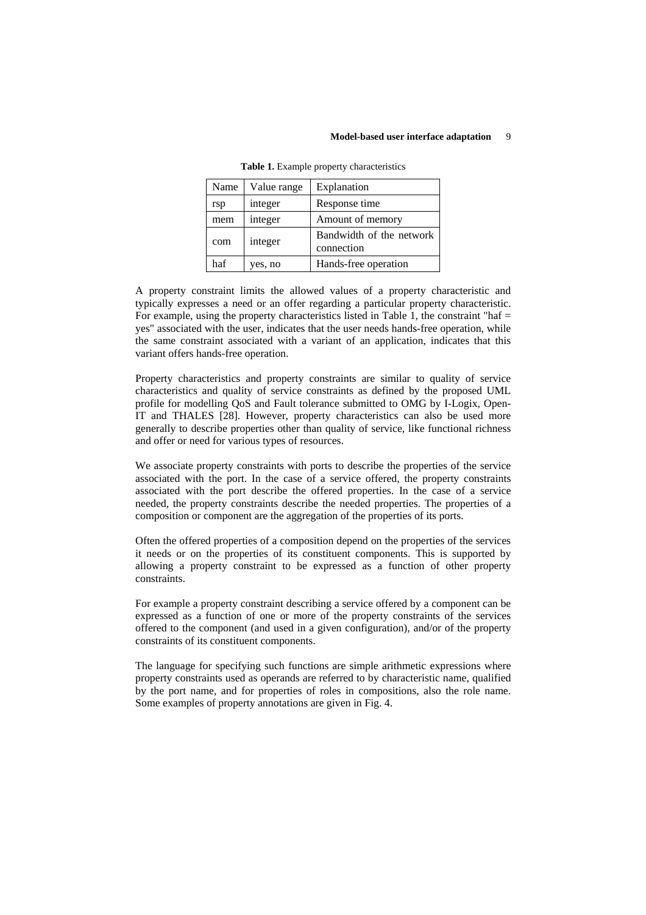| Name | Value range | Explanation                            |
|------|-------------|----------------------------------------|
| rsp  | integer     | Response time                          |
| mem  | integer     | Amount of memory                       |
| com  | integer     | Bandwidth of the network<br>connection |
| haf  | yes, no     | Hands-free operation                   |

**Table 1.** Example property characteristics

A property constraint limits the allowed values of a property characteristic and typically expresses a need or an offer regarding a particular property characteristic. For example, using the property characteristics listed in Table 1, the constraint "haf  $=$ yes" associated with the user, indicates that the user needs hands-free operation, while the same constraint associated with a variant of an application, indicates that this variant offers hands-free operation.

Property characteristics and property constraints are similar to quality of service characteristics and quality of service constraints as defined by the proposed UML profile for modelling QoS and Fault tolerance submitted to OMG by I-Logix, Open-IT and THALES [28]. However, property characteristics can also be used more generally to describe properties other than quality of service, like functional richness and offer or need for various types of resources.

We associate property constraints with ports to describe the properties of the service associated with the port. In the case of a service offered, the property constraints associated with the port describe the offered properties. In the case of a service needed, the property constraints describe the needed properties. The properties of a composition or component are the aggregation of the properties of its ports.

Often the offered properties of a composition depend on the properties of the services it needs or on the properties of its constituent components. This is supported by allowing a property constraint to be expressed as a function of other property constraints.

For example a property constraint describing a service offered by a component can be expressed as a function of one or more of the property constraints of the services offered to the component (and used in a given configuration), and/or of the property constraints of its constituent components.

The language for specifying such functions are simple arithmetic expressions where property constraints used as operands are referred to by characteristic name, qualified by the port name, and for properties of roles in compositions, also the role name. Some examples of property annotations are given in Fig. 4.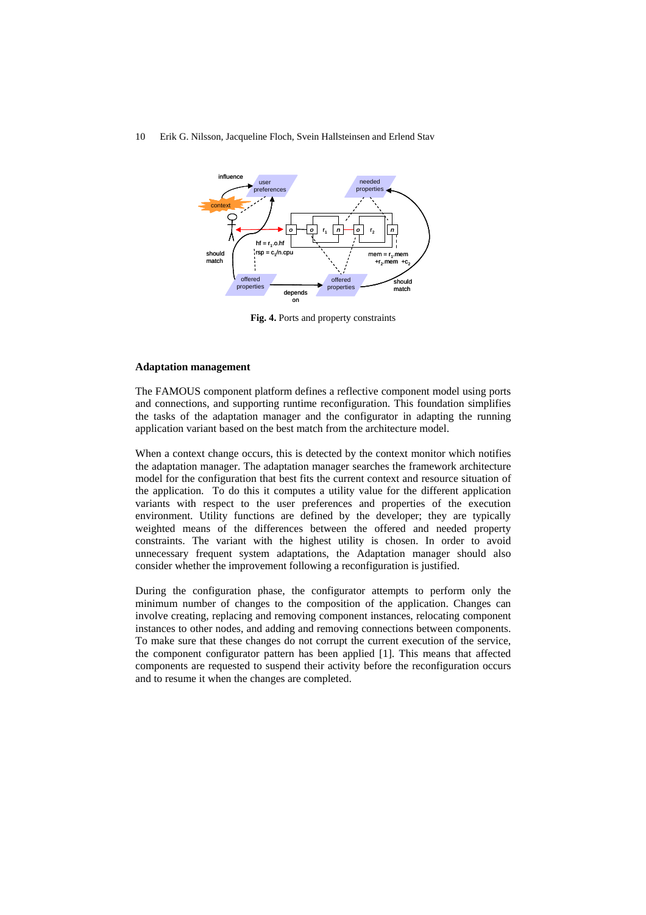

**Fig. 4.** Ports and property constraints

#### **Adaptation management**

The FAMOUS component platform defines a reflective component model using ports and connections, and supporting runtime reconfiguration. This foundation simplifies the tasks of the adaptation manager and the configurator in adapting the running application variant based on the best match from the architecture model.

When a context change occurs, this is detected by the context monitor which notifies the adaptation manager. The adaptation manager searches the framework architecture model for the configuration that best fits the current context and resource situation of the application. To do this it computes a utility value for the different application variants with respect to the user preferences and properties of the execution environment. Utility functions are defined by the developer; they are typically weighted means of the differences between the offered and needed property constraints. The variant with the highest utility is chosen. In order to avoid unnecessary frequent system adaptations, the Adaptation manager should also consider whether the improvement following a reconfiguration is justified.

During the configuration phase, the configurator attempts to perform only the minimum number of changes to the composition of the application. Changes can involve creating, replacing and removing component instances, relocating component instances to other nodes, and adding and removing connections between components. To make sure that these changes do not corrupt the current execution of the service, the component configurator pattern has been applied [1]. This means that affected components are requested to suspend their activity before the reconfiguration occurs and to resume it when the changes are completed.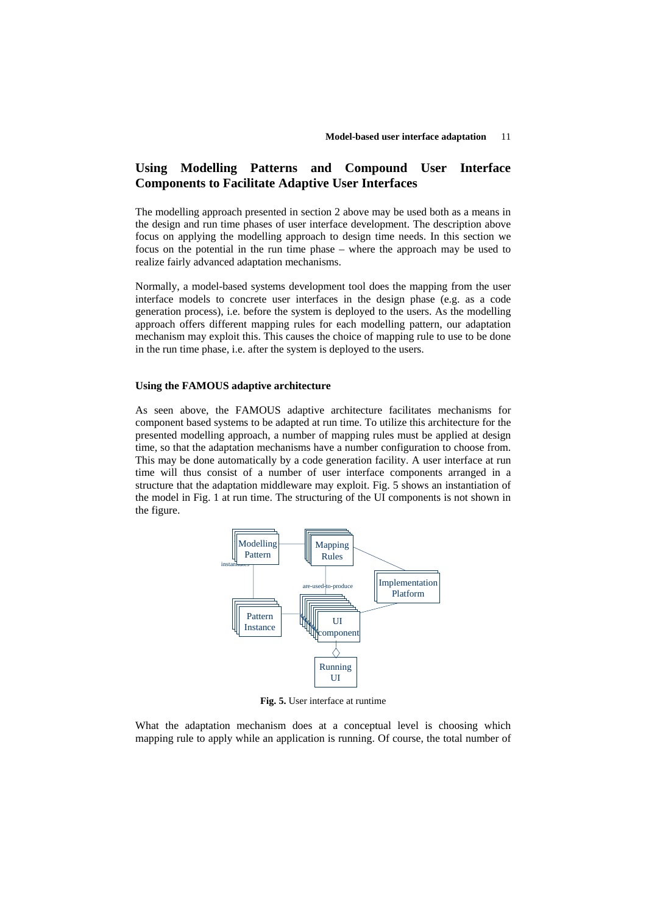## **Using Modelling Patterns and Compound User Interface Components to Facilitate Adaptive User Interfaces**

The modelling approach presented in section 2 above may be used both as a means in the design and run time phases of user interface development. The description above focus on applying the modelling approach to design time needs. In this section we focus on the potential in the run time phase – where the approach may be used to realize fairly advanced adaptation mechanisms.

Normally, a model-based systems development tool does the mapping from the user interface models to concrete user interfaces in the design phase (e.g. as a code generation process), i.e. before the system is deployed to the users. As the modelling approach offers different mapping rules for each modelling pattern, our adaptation mechanism may exploit this. This causes the choice of mapping rule to use to be done in the run time phase, i.e. after the system is deployed to the users.

### **Using the FAMOUS adaptive architecture**

As seen above, the FAMOUS adaptive architecture facilitates mechanisms for component based systems to be adapted at run time. To utilize this architecture for the presented modelling approach, a number of mapping rules must be applied at design time, so that the adaptation mechanisms have a number configuration to choose from. This may be done automatically by a code generation facility. A user interface at run time will thus consist of a number of user interface components arranged in a structure that the adaptation middleware may exploit. Fig. 5 shows an instantiation of the model in Fig. 1 at run time. The structuring of the UI components is not shown in the figure.



**Fig. 5.** User interface at runtime

What the adaptation mechanism does at a conceptual level is choosing which mapping rule to apply while an application is running. Of course, the total number of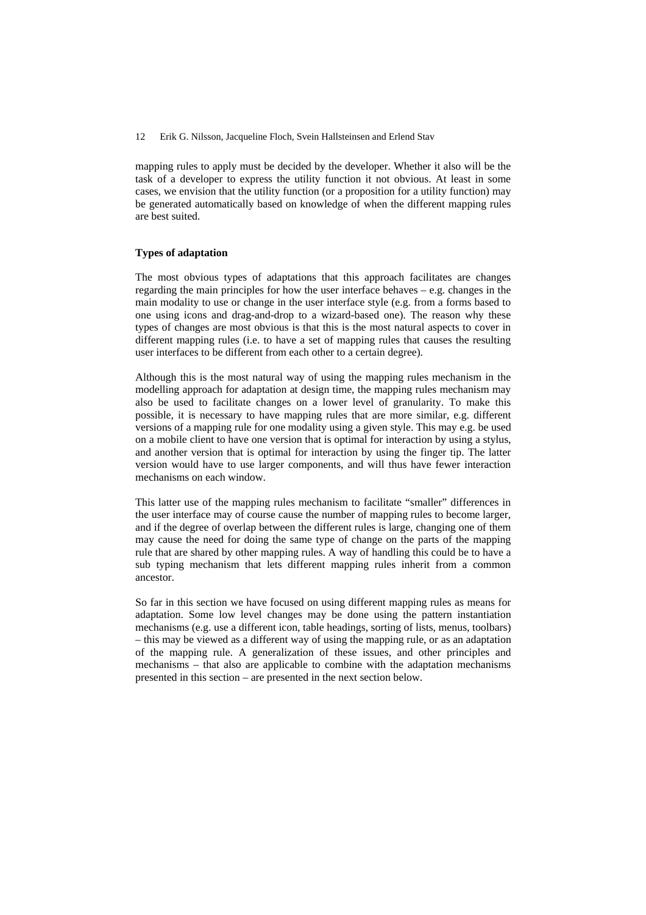mapping rules to apply must be decided by the developer. Whether it also will be the task of a developer to express the utility function it not obvious. At least in some cases, we envision that the utility function (or a proposition for a utility function) may be generated automatically based on knowledge of when the different mapping rules are best suited.

#### **Types of adaptation**

The most obvious types of adaptations that this approach facilitates are changes regarding the main principles for how the user interface behaves – e.g. changes in the main modality to use or change in the user interface style (e.g. from a forms based to one using icons and drag-and-drop to a wizard-based one). The reason why these types of changes are most obvious is that this is the most natural aspects to cover in different mapping rules (i.e. to have a set of mapping rules that causes the resulting user interfaces to be different from each other to a certain degree).

Although this is the most natural way of using the mapping rules mechanism in the modelling approach for adaptation at design time, the mapping rules mechanism may also be used to facilitate changes on a lower level of granularity. To make this possible, it is necessary to have mapping rules that are more similar, e.g. different versions of a mapping rule for one modality using a given style. This may e.g. be used on a mobile client to have one version that is optimal for interaction by using a stylus, and another version that is optimal for interaction by using the finger tip. The latter version would have to use larger components, and will thus have fewer interaction mechanisms on each window.

This latter use of the mapping rules mechanism to facilitate "smaller" differences in the user interface may of course cause the number of mapping rules to become larger, and if the degree of overlap between the different rules is large, changing one of them may cause the need for doing the same type of change on the parts of the mapping rule that are shared by other mapping rules. A way of handling this could be to have a sub typing mechanism that lets different mapping rules inherit from a common ancestor.

So far in this section we have focused on using different mapping rules as means for adaptation. Some low level changes may be done using the pattern instantiation mechanisms (e.g. use a different icon, table headings, sorting of lists, menus, toolbars) – this may be viewed as a different way of using the mapping rule, or as an adaptation of the mapping rule. A generalization of these issues, and other principles and mechanisms – that also are applicable to combine with the adaptation mechanisms presented in this section – are presented in the next section below.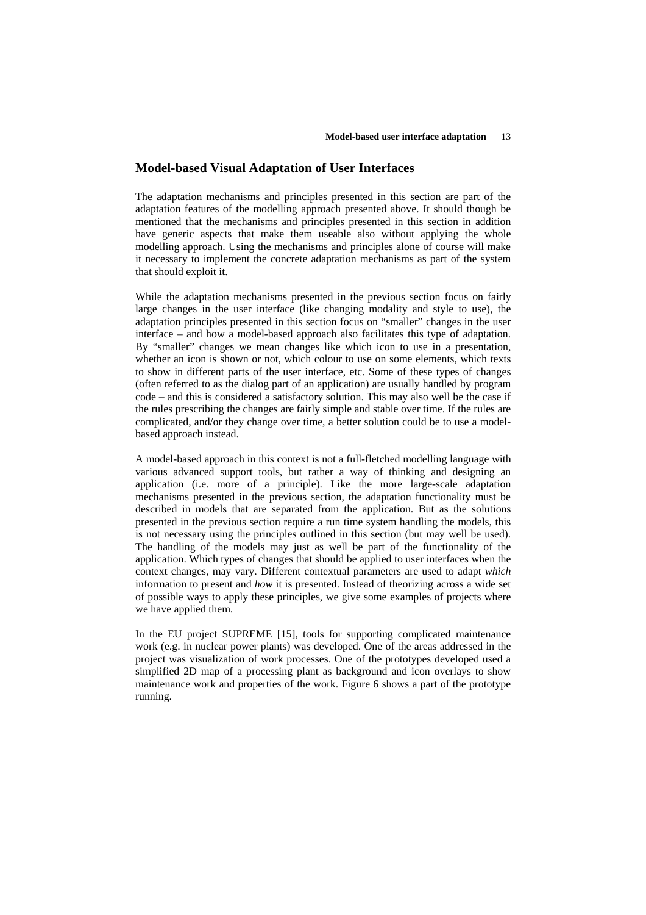### **Model-based Visual Adaptation of User Interfaces**

The adaptation mechanisms and principles presented in this section are part of the adaptation features of the modelling approach presented above. It should though be mentioned that the mechanisms and principles presented in this section in addition have generic aspects that make them useable also without applying the whole modelling approach. Using the mechanisms and principles alone of course will make it necessary to implement the concrete adaptation mechanisms as part of the system that should exploit it.

While the adaptation mechanisms presented in the previous section focus on fairly large changes in the user interface (like changing modality and style to use), the adaptation principles presented in this section focus on "smaller" changes in the user interface – and how a model-based approach also facilitates this type of adaptation. By "smaller" changes we mean changes like which icon to use in a presentation, whether an icon is shown or not, which colour to use on some elements, which texts to show in different parts of the user interface, etc. Some of these types of changes (often referred to as the dialog part of an application) are usually handled by program code – and this is considered a satisfactory solution. This may also well be the case if the rules prescribing the changes are fairly simple and stable over time. If the rules are complicated, and/or they change over time, a better solution could be to use a modelbased approach instead.

A model-based approach in this context is not a full-fletched modelling language with various advanced support tools, but rather a way of thinking and designing an application (i.e. more of a principle). Like the more large-scale adaptation mechanisms presented in the previous section, the adaptation functionality must be described in models that are separated from the application. But as the solutions presented in the previous section require a run time system handling the models, this is not necessary using the principles outlined in this section (but may well be used). The handling of the models may just as well be part of the functionality of the application. Which types of changes that should be applied to user interfaces when the context changes, may vary. Different contextual parameters are used to adapt *which* information to present and *how* it is presented. Instead of theorizing across a wide set of possible ways to apply these principles, we give some examples of projects where we have applied them.

In the EU project SUPREME [15], tools for supporting complicated maintenance work (e.g. in nuclear power plants) was developed. One of the areas addressed in the project was visualization of work processes. One of the prototypes developed used a simplified 2D map of a processing plant as background and icon overlays to show maintenance work and properties of the work. Figure 6 shows a part of the prototype running.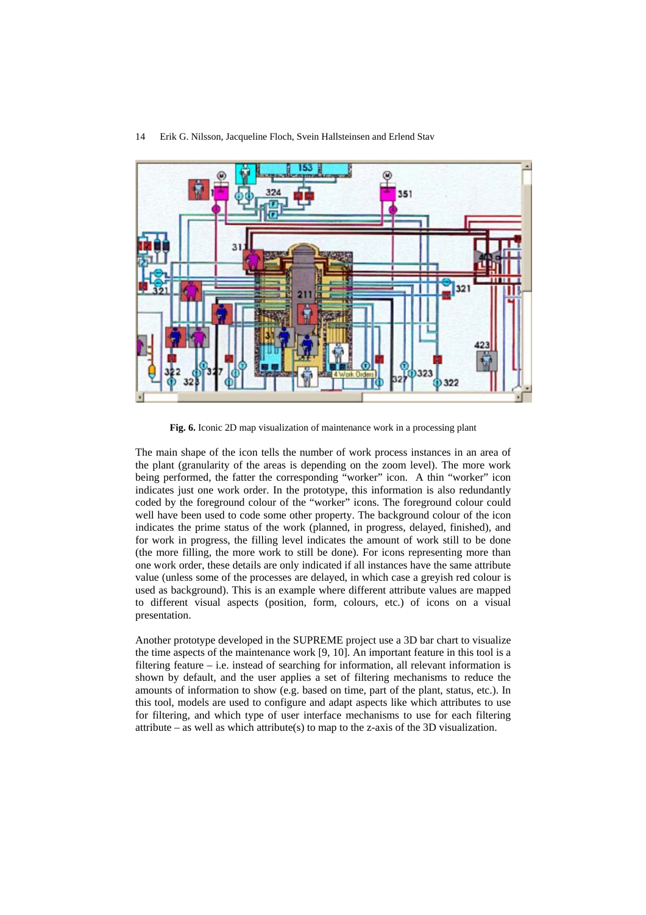

14 Erik G. Nilsson, Jacqueline Floch, Svein Hallsteinsen and Erlend Stav

**Fig. 6.** Iconic 2D map visualization of maintenance work in a processing plant

The main shape of the icon tells the number of work process instances in an area of the plant (granularity of the areas is depending on the zoom level). The more work being performed, the fatter the corresponding "worker" icon. A thin "worker" icon indicates just one work order. In the prototype, this information is also redundantly coded by the foreground colour of the "worker" icons. The foreground colour could well have been used to code some other property. The background colour of the icon indicates the prime status of the work (planned, in progress, delayed, finished), and for work in progress, the filling level indicates the amount of work still to be done (the more filling, the more work to still be done). For icons representing more than one work order, these details are only indicated if all instances have the same attribute value (unless some of the processes are delayed, in which case a greyish red colour is used as background). This is an example where different attribute values are mapped to different visual aspects (position, form, colours, etc.) of icons on a visual presentation.

Another prototype developed in the SUPREME project use a 3D bar chart to visualize the time aspects of the maintenance work [9, 10]. An important feature in this tool is a filtering feature – i.e. instead of searching for information, all relevant information is shown by default, and the user applies a set of filtering mechanisms to reduce the amounts of information to show (e.g. based on time, part of the plant, status, etc.). In this tool, models are used to configure and adapt aspects like which attributes to use for filtering, and which type of user interface mechanisms to use for each filtering attribute – as well as which attribute(s) to map to the z-axis of the 3D visualization.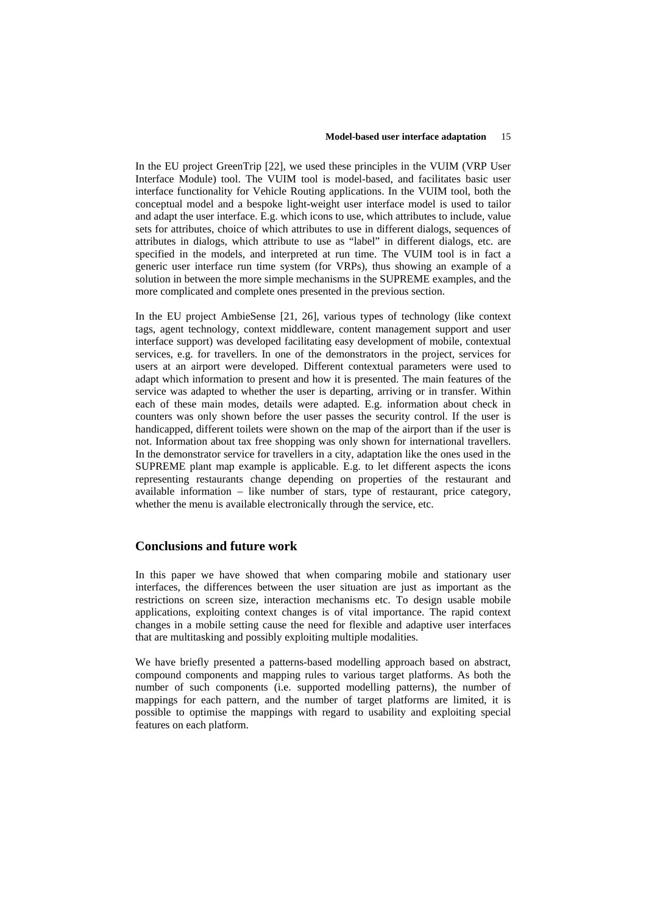In the EU project GreenTrip [22], we used these principles in the VUIM (VRP User Interface Module) tool. The VUIM tool is model-based, and facilitates basic user interface functionality for Vehicle Routing applications. In the VUIM tool, both the conceptual model and a bespoke light-weight user interface model is used to tailor and adapt the user interface. E.g. which icons to use, which attributes to include, value sets for attributes, choice of which attributes to use in different dialogs, sequences of attributes in dialogs, which attribute to use as "label" in different dialogs, etc. are specified in the models, and interpreted at run time. The VUIM tool is in fact a generic user interface run time system (for VRPs), thus showing an example of a solution in between the more simple mechanisms in the SUPREME examples, and the more complicated and complete ones presented in the previous section.

In the EU project AmbieSense [21, 26], various types of technology (like context tags, agent technology, context middleware, content management support and user interface support) was developed facilitating easy development of mobile, contextual services, e.g. for travellers. In one of the demonstrators in the project, services for users at an airport were developed. Different contextual parameters were used to adapt which information to present and how it is presented. The main features of the service was adapted to whether the user is departing, arriving or in transfer. Within each of these main modes, details were adapted. E.g. information about check in counters was only shown before the user passes the security control. If the user is handicapped, different toilets were shown on the map of the airport than if the user is not. Information about tax free shopping was only shown for international travellers. In the demonstrator service for travellers in a city, adaptation like the ones used in the SUPREME plant map example is applicable. E.g. to let different aspects the icons representing restaurants change depending on properties of the restaurant and available information – like number of stars, type of restaurant, price category, whether the menu is available electronically through the service, etc.

## **Conclusions and future work**

In this paper we have showed that when comparing mobile and stationary user interfaces, the differences between the user situation are just as important as the restrictions on screen size, interaction mechanisms etc. To design usable mobile applications, exploiting context changes is of vital importance. The rapid context changes in a mobile setting cause the need for flexible and adaptive user interfaces that are multitasking and possibly exploiting multiple modalities.

We have briefly presented a patterns-based modelling approach based on abstract, compound components and mapping rules to various target platforms. As both the number of such components (i.e. supported modelling patterns), the number of mappings for each pattern, and the number of target platforms are limited, it is possible to optimise the mappings with regard to usability and exploiting special features on each platform.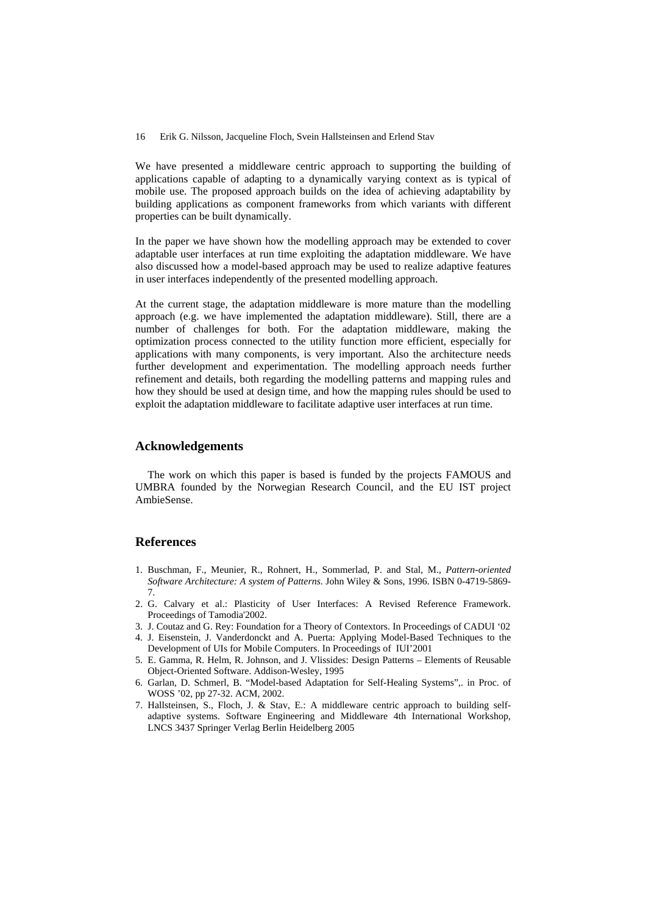We have presented a middleware centric approach to supporting the building of applications capable of adapting to a dynamically varying context as is typical of mobile use. The proposed approach builds on the idea of achieving adaptability by building applications as component frameworks from which variants with different properties can be built dynamically.

In the paper we have shown how the modelling approach may be extended to cover adaptable user interfaces at run time exploiting the adaptation middleware. We have also discussed how a model-based approach may be used to realize adaptive features in user interfaces independently of the presented modelling approach.

At the current stage, the adaptation middleware is more mature than the modelling approach (e.g. we have implemented the adaptation middleware). Still, there are a number of challenges for both. For the adaptation middleware, making the optimization process connected to the utility function more efficient, especially for applications with many components, is very important. Also the architecture needs further development and experimentation. The modelling approach needs further refinement and details, both regarding the modelling patterns and mapping rules and how they should be used at design time, and how the mapping rules should be used to exploit the adaptation middleware to facilitate adaptive user interfaces at run time.

### **Acknowledgements**

The work on which this paper is based is funded by the projects FAMOUS and UMBRA founded by the Norwegian Research Council, and the EU IST project AmbieSense.

## **References**

- 1. Buschman, F., Meunier, R., Rohnert, H., Sommerlad, P. and Stal, M., *Pattern-oriented Software Architecture: A system of Patterns*. John Wiley & Sons, 1996. ISBN 0-4719-5869- 7.
- 2. G. Calvary et al.: Plasticity of User Interfaces: A Revised Reference Framework. Proceedings of Tamodia'2002.
- 3. J. Coutaz and G. Rey: Foundation for a Theory of Contextors. In Proceedings of CADUI '02
- 4. J. Eisenstein, J. Vanderdonckt and A. Puerta: Applying Model-Based Techniques to the Development of UIs for Mobile Computers. In Proceedings of IUI'2001
- 5. E. Gamma, R. Helm, R. Johnson, and J. Vlissides: Design Patterns Elements of Reusable Object-Oriented Software. Addison-Wesley, 1995
- 6. Garlan, D. Schmerl, B. "Model-based Adaptation for Self-Healing Systems",. in Proc. of WOSS '02, pp 27-32. ACM, 2002.
- 7. Hallsteinsen, S., Floch, J. & Stav, E.: A middleware centric approach to building selfadaptive systems. Software Engineering and Middleware 4th International Workshop, LNCS 3437 Springer Verlag Berlin Heidelberg 2005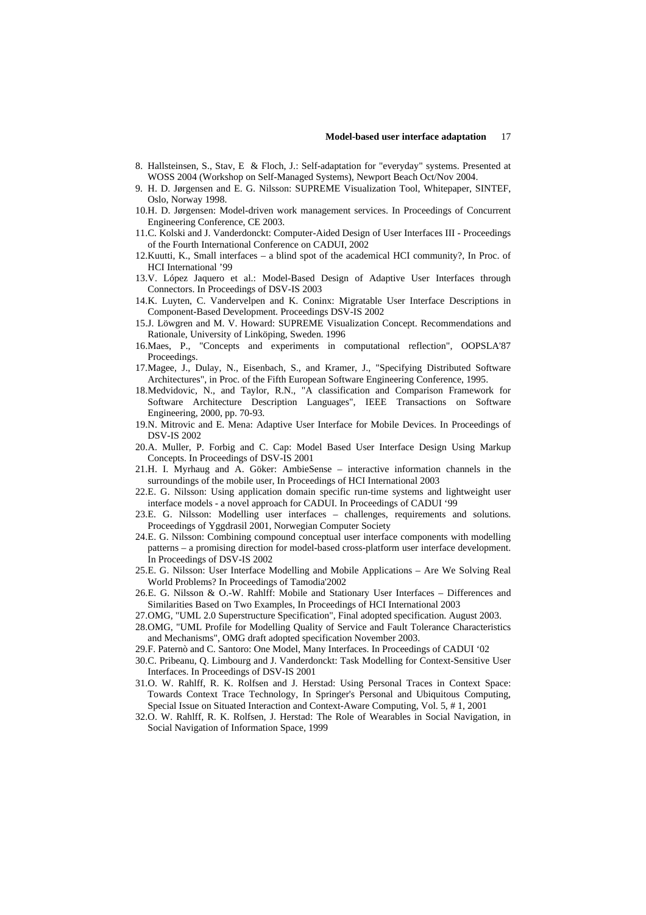- 8. Hallsteinsen, S., Stav, E & Floch, J.: Self-adaptation for "everyday" systems. Presented at WOSS 2004 (Workshop on Self-Managed Systems), Newport Beach Oct/Nov 2004.
- 9. H. D. Jørgensen and E. G. Nilsson: SUPREME Visualization Tool, Whitepaper, SINTEF, Oslo, Norway 1998.
- 10.H. D. Jørgensen: Model-driven work management services. In Proceedings of Concurrent Engineering Conference, CE 2003.
- 11. C. Kolski and J. Vanderdonckt: Computer-Aided Design of User Interfaces III Proceedings of the Fourth International Conference on CADUI, 2002
- 12. Kuutti, K., Small interfaces a blind spot of the academical HCI community?, In Proc. of HCI International '99
- 13. V. López Jaquero et al.: Model-Based Design of Adaptive User Interfaces through Connectors. In Proceedings of DSV-IS 2003
- 14.K. Luyten, C. Vandervelpen and K. Coninx: Migratable User Interface Descriptions in Component-Based Development. Proceedings DSV-IS 2002
- 15. J. Löwgren and M. V. Howard: SUPREME Visualization Concept. Recommendations and Rationale, University of Linköping, Sweden. 1996
- 16. Maes, P., "Concepts and experiments in computational reflection", OOPSLA'87 Proceedings.
- 17. Magee, J., Dulay, N., Eisenbach, S., and Kramer, J., "Specifying Distributed Software Architectures", in Proc. of the Fifth European Software Engineering Conference, 1995.
- 18. Medvidovic, N., and Taylor, R.N., "A classification and Comparison Framework for Software Architecture Description Languages", IEEE Transactions on Software Engineering, 2000, pp. 70-93.
- 19. N. Mitrovic and E. Mena: Adaptive User Interface for Mobile Devices. In Proceedings of DSV-IS 2002
- 20. A. Muller, P. Forbig and C. Cap: Model Based User Interface Design Using Markup Concepts. In Proceedings of DSV-IS 2001
- 21. H. I. Myrhaug and A. Göker: AmbieSense interactive information channels in the surroundings of the mobile user, In Proceedings of HCI International 2003
- 22. E. G. Nilsson: Using application domain specific run-time systems and lightweight user interface models - a novel approach for CADUI. In Proceedings of CADUI '99
- 23.E. G. Nilsson: Modelling user interfaces challenges, requirements and solutions. Proceedings of Yggdrasil 2001, Norwegian Computer Society
- 24. E. G. Nilsson: Combining compound conceptual user interface components with modelling patterns – a promising direction for model-based cross-platform user interface development. In Proceedings of DSV-IS 2002
- 25. E. G. Nilsson: User Interface Modelling and Mobile Applications Are We Solving Real World Problems? In Proceedings of Tamodia'2002
- 26. E. G. Nilsson & O.-W. Rahlff: Mobile and Stationary User Interfaces Differences and Similarities Based on Two Examples, In Proceedings of HCI International 2003
- 27. OMG, "UML 2.0 Superstructure Specification", Final adopted specification. August 2003.
- 28. OMG, "UML Profile for Modelling Quality of Service and Fault Tolerance Characteristics and Mechanisms", OMG draft adopted specification November 2003.
- 29. F. Paternò and C. Santoro: One Model, Many Interfaces. In Proceedings of CADUI '02
- 30. C. Pribeanu, Q. Limbourg and J. Vanderdonckt: Task Modelling for Context-Sensitive User Interfaces. In Proceedings of DSV-IS 2001
- 31. O. W. Rahlff, R. K. Rolfsen and J. Herstad: Using Personal Traces in Context Space: Towards Context Trace Technology, In Springer's Personal and Ubiquitous Computing, Special Issue on Situated Interaction and Context-Aware Computing, Vol. 5, # 1, 2001
- 32. O. W. Rahlff, R. K. Rolfsen, J. Herstad: The Role of Wearables in Social Navigation, in Social Navigation of Information Space, 1999